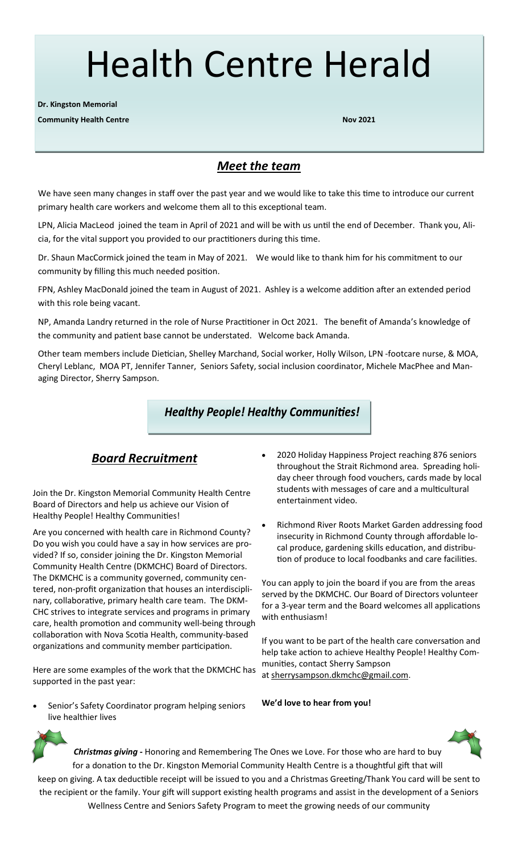# Health Centre Herald

**Dr. Kingston Memorial**

**Community Health Centre Nov 2021**

## *Meet the team*

We have seen many changes in staff over the past year and we would like to take this time to introduce our current primary health care workers and welcome them all to this exceptional team.

LPN, Alicia MacLeod joined the team in April of 2021 and will be with us until the end of December. Thank you, Alicia, for the vital support you provided to our practitioners during this time.

Dr. Shaun MacCormick joined the team in May of 2021. We would like to thank him for his commitment to our community by filling this much needed position.

FPN, Ashley MacDonald joined the team in August of 2021. Ashley is a welcome addition after an extended period with this role being vacant.

NP, Amanda Landry returned in the role of Nurse Practitioner in Oct 2021. The benefit of Amanda's knowledge of the community and patient base cannot be understated. Welcome back Amanda.

Other team members include Dietician, Shelley Marchand, Social worker, Holly Wilson, LPN -footcare nurse, & MOA, Cheryl Leblanc, MOA PT, Jennifer Tanner, Seniors Safety, social inclusion coordinator, Michele MacPhee and Managing Director, Sherry Sampson.

## **Healthy People! Healthy Communities!**

## *Board Recruitment*

Join the Dr. Kingston Memorial Community Health Centre Board of Directors and help us achieve our Vision of Healthy People! Healthy Communities!

Are you concerned with health care in Richmond County? Do you wish you could have a say in how services are provided? If so, consider joining the Dr. Kingston Memorial Community Health Centre (DKMCHC) Board of Directors. The DKMCHC is a community governed, community centered, non-profit organization that houses an interdisciplinary, collaborative, primary health care team. The DKM-CHC strives to integrate services and programs in primary care, health promotion and community well-being through collaboration with Nova Scotia Health, community-based organizations and community member participation.

Here are some examples of the work that the DKMCHC has supported in the past year:

Senior's Safety Coordinator program helping seniors live healthier lives

- 2020 Holiday Happiness Project reaching 876 seniors throughout the Strait Richmond area. Spreading holiday cheer through food vouchers, cards made by local students with messages of care and a multicultural entertainment video.
- Richmond River Roots Market Garden addressing food insecurity in Richmond County through affordable local produce, gardening skills education, and distribution of produce to local foodbanks and care facilities.

You can apply to join the board if you are from the areas served by the DKMCHC. Our Board of Directors volunteer for a 3-year term and the Board welcomes all applications with enthusiasm!

If you want to be part of the health care conversation and help take action to achieve Healthy People! Healthy Communities, contact Sherry Sampson at sherrysampson.dkmchc@gmail.com.





*Christmas giving* **-** Honoring and Remembering The Ones we Love. For those who are hard to buy for a donation to the Dr. Kingston Memorial Community Health Centre is a thoughtful gift that will keep on giving. A tax deductible receipt will be issued to you and a Christmas Greeting/Thank You card will be sent to the recipient or the family. Your gift will support existing health programs and assist in the development of a Seniors

Wellness Centre and Seniors Safety Program to meet the growing needs of our community